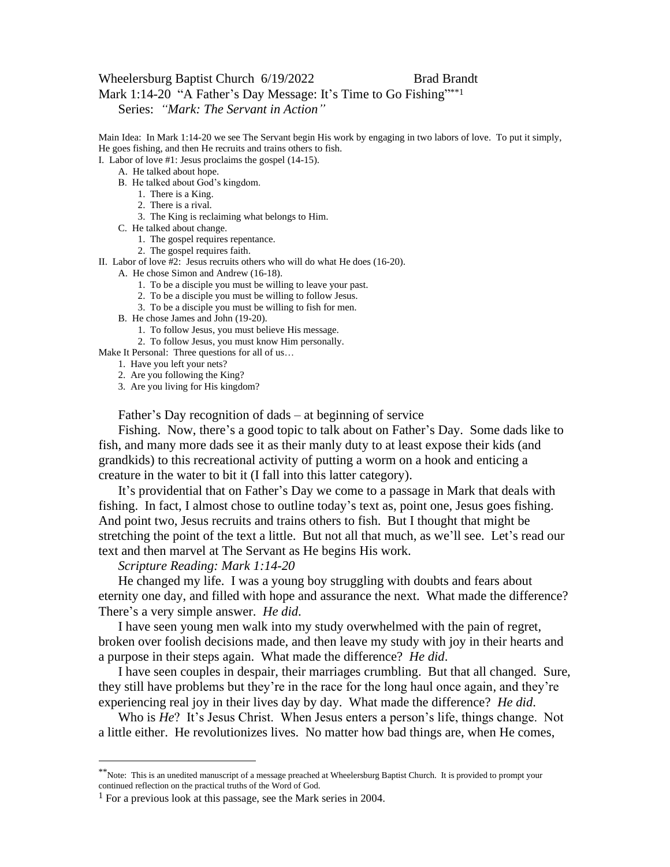## Wheelersburg Baptist Church 6/19/2022 Brad Brandt

Mark 1:14-20 "A Father's Day Message: It's Time to Go Fishing"\*\*1

Series: *"Mark: The Servant in Action"*

Main Idea: In Mark 1:14-20 we see The Servant begin His work by engaging in two labors of love. To put it simply, He goes fishing, and then He recruits and trains others to fish.

I. Labor of love #1: Jesus proclaims the gospel (14-15).

- A. He talked about hope.
- B. He talked about God's kingdom.
	- 1. There is a King.
	- 2. There is a rival.
	- 3. The King is reclaiming what belongs to Him.
- C. He talked about change.
	- 1. The gospel requires repentance.
	- 2. The gospel requires faith.

II. Labor of love #2: Jesus recruits others who will do what He does (16-20).

A. He chose Simon and Andrew (16-18).

- 1. To be a disciple you must be willing to leave your past.
- 2. To be a disciple you must be willing to follow Jesus.
- 3. To be a disciple you must be willing to fish for men.
- B. He chose James and John (19-20).
	- 1. To follow Jesus, you must believe His message.
	- 2. To follow Jesus, you must know Him personally.

Make It Personal: Three questions for all of us…

- 1. Have you left your nets?
- 2. Are you following the King?
- 3. Are you living for His kingdom?

Father's Day recognition of dads – at beginning of service

Fishing. Now, there's a good topic to talk about on Father's Day. Some dads like to fish, and many more dads see it as their manly duty to at least expose their kids (and grandkids) to this recreational activity of putting a worm on a hook and enticing a creature in the water to bit it (I fall into this latter category).

It's providential that on Father's Day we come to a passage in Mark that deals with fishing. In fact, I almost chose to outline today's text as, point one, Jesus goes fishing. And point two, Jesus recruits and trains others to fish. But I thought that might be stretching the point of the text a little. But not all that much, as we'll see. Let's read our text and then marvel at The Servant as He begins His work.

## *Scripture Reading: Mark 1:14-20*

He changed my life. I was a young boy struggling with doubts and fears about eternity one day, and filled with hope and assurance the next. What made the difference? There's a very simple answer. *He did*.

I have seen young men walk into my study overwhelmed with the pain of regret, broken over foolish decisions made, and then leave my study with joy in their hearts and a purpose in their steps again. What made the difference? *He did*.

I have seen couples in despair, their marriages crumbling. But that all changed. Sure, they still have problems but they're in the race for the long haul once again, and they're experiencing real joy in their lives day by day. What made the difference? *He did*.

Who is *He*? It's Jesus Christ. When Jesus enters a person's life, things change. Not a little either. He revolutionizes lives. No matter how bad things are, when He comes,

<sup>\*\*</sup>Note: This is an unedited manuscript of a message preached at Wheelersburg Baptist Church. It is provided to prompt your continued reflection on the practical truths of the Word of God.

<sup>&</sup>lt;sup>1</sup> For a previous look at this passage, see the Mark series in 2004.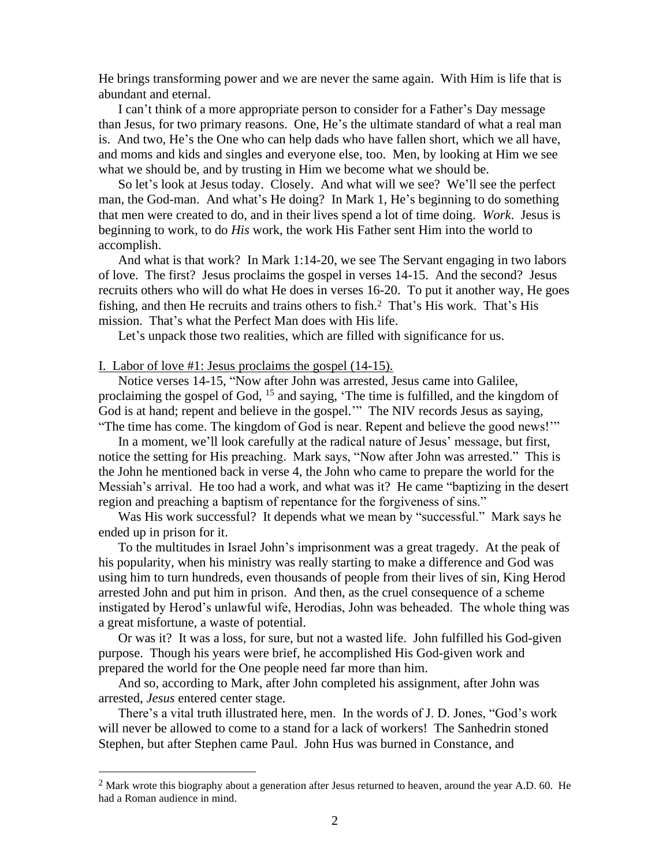He brings transforming power and we are never the same again. With Him is life that is abundant and eternal.

I can't think of a more appropriate person to consider for a Father's Day message than Jesus, for two primary reasons. One, He's the ultimate standard of what a real man is. And two, He's the One who can help dads who have fallen short, which we all have, and moms and kids and singles and everyone else, too. Men, by looking at Him we see what we should be, and by trusting in Him we become what we should be.

So let's look at Jesus today. Closely. And what will we see? We'll see the perfect man, the God-man. And what's He doing? In Mark 1, He's beginning to do something that men were created to do, and in their lives spend a lot of time doing. *Work*. Jesus is beginning to work, to do *His* work, the work His Father sent Him into the world to accomplish.

And what is that work? In Mark 1:14-20, we see The Servant engaging in two labors of love. The first? Jesus proclaims the gospel in verses 14-15. And the second? Jesus recruits others who will do what He does in verses 16-20. To put it another way, He goes fishing, and then He recruits and trains others to fish.2 That's His work. That's His mission. That's what the Perfect Man does with His life.

Let's unpack those two realities, which are filled with significance for us.

I. Labor of love #1: Jesus proclaims the gospel (14-15).

Notice verses 14-15, "Now after John was arrested, Jesus came into Galilee, proclaiming the gospel of God, <sup>15</sup> and saying, 'The time is fulfilled, and the kingdom of God is at hand; repent and believe in the gospel.'" The NIV records Jesus as saying, "The time has come. The kingdom of God is near. Repent and believe the good news!'"

In a moment, we'll look carefully at the radical nature of Jesus' message, but first, notice the setting for His preaching. Mark says, "Now after John was arrested." This is the John he mentioned back in verse 4, the John who came to prepare the world for the Messiah's arrival. He too had a work, and what was it? He came "baptizing in the desert region and preaching a baptism of repentance for the forgiveness of sins."

Was His work successful? It depends what we mean by "successful." Mark says he ended up in prison for it.

To the multitudes in Israel John's imprisonment was a great tragedy. At the peak of his popularity, when his ministry was really starting to make a difference and God was using him to turn hundreds, even thousands of people from their lives of sin, King Herod arrested John and put him in prison. And then, as the cruel consequence of a scheme instigated by Herod's unlawful wife, Herodias, John was beheaded. The whole thing was a great misfortune, a waste of potential.

Or was it? It was a loss, for sure, but not a wasted life. John fulfilled his God-given purpose. Though his years were brief, he accomplished His God-given work and prepared the world for the One people need far more than him.

And so, according to Mark, after John completed his assignment, after John was arrested, *Jesus* entered center stage.

There's a vital truth illustrated here, men. In the words of J. D. Jones, "God's work will never be allowed to come to a stand for a lack of workers! The Sanhedrin stoned Stephen, but after Stephen came Paul. John Hus was burned in Constance, and

<sup>&</sup>lt;sup>2</sup> Mark wrote this biography about a generation after Jesus returned to heaven, around the year A.D.  $60$ . He had a Roman audience in mind.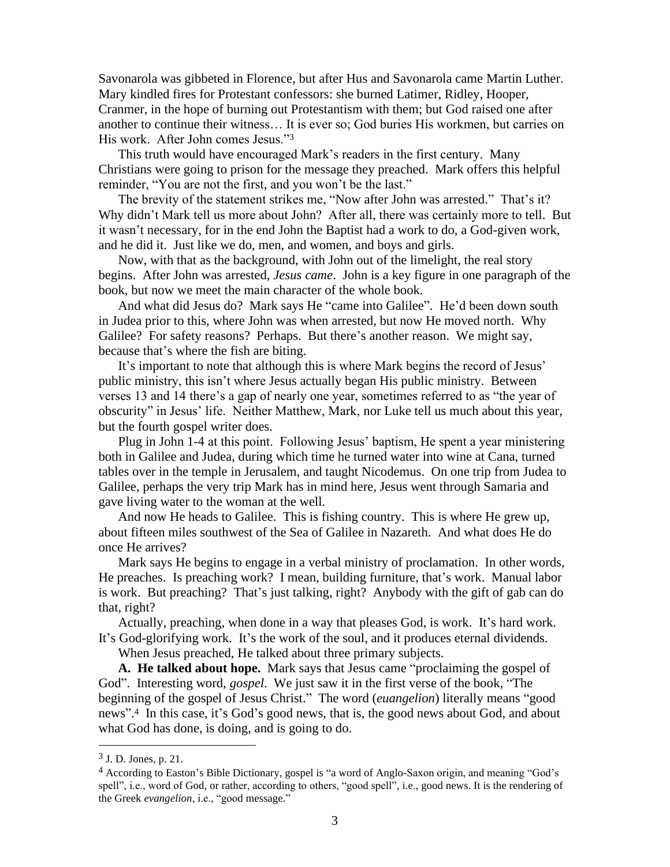Savonarola was gibbeted in Florence, but after Hus and Savonarola came Martin Luther. Mary kindled fires for Protestant confessors: she burned Latimer, Ridley, Hooper, Cranmer, in the hope of burning out Protestantism with them; but God raised one after another to continue their witness… It is ever so; God buries His workmen, but carries on His work. After John comes Jesus."<sup>3</sup>

This truth would have encouraged Mark's readers in the first century. Many Christians were going to prison for the message they preached. Mark offers this helpful reminder, "You are not the first, and you won't be the last."

The brevity of the statement strikes me, "Now after John was arrested." That's it? Why didn't Mark tell us more about John? After all, there was certainly more to tell. But it wasn't necessary, for in the end John the Baptist had a work to do, a God-given work, and he did it. Just like we do, men, and women, and boys and girls.

Now, with that as the background, with John out of the limelight, the real story begins. After John was arrested, *Jesus came*. John is a key figure in one paragraph of the book, but now we meet the main character of the whole book.

And what did Jesus do? Mark says He "came into Galilee". He'd been down south in Judea prior to this, where John was when arrested, but now He moved north. Why Galilee? For safety reasons? Perhaps. But there's another reason. We might say, because that's where the fish are biting.

It's important to note that although this is where Mark begins the record of Jesus' public ministry, this isn't where Jesus actually began His public ministry. Between verses 13 and 14 there's a gap of nearly one year, sometimes referred to as "the year of obscurity" in Jesus' life. Neither Matthew, Mark, nor Luke tell us much about this year, but the fourth gospel writer does.

Plug in John 1-4 at this point. Following Jesus' baptism, He spent a year ministering both in Galilee and Judea, during which time he turned water into wine at Cana, turned tables over in the temple in Jerusalem, and taught Nicodemus. On one trip from Judea to Galilee, perhaps the very trip Mark has in mind here, Jesus went through Samaria and gave living water to the woman at the well.

And now He heads to Galilee. This is fishing country. This is where He grew up, about fifteen miles southwest of the Sea of Galilee in Nazareth. And what does He do once He arrives?

Mark says He begins to engage in a verbal ministry of proclamation. In other words, He preaches. Is preaching work? I mean, building furniture, that's work. Manual labor is work. But preaching? That's just talking, right? Anybody with the gift of gab can do that, right?

Actually, preaching, when done in a way that pleases God, is work. It's hard work. It's God-glorifying work. It's the work of the soul, and it produces eternal dividends.

When Jesus preached, He talked about three primary subjects.

**A. He talked about hope.** Mark says that Jesus came "proclaiming the gospel of God". Interesting word, *gospel*. We just saw it in the first verse of the book, "The beginning of the gospel of Jesus Christ." The word (*euangelion*) literally means "good news". <sup>4</sup> In this case, it's God's good news, that is, the good news about God, and about what God has done, is doing, and is going to do.

<sup>3</sup> J. D. Jones, p. 21.

<sup>4</sup> According to Easton's Bible Dictionary, gospel is "a word of Anglo-Saxon origin, and meaning "God's spell", i.e., word of God, or rather, according to others, "good spell", i.e., good news. It is the rendering of the Greek *evangelion*, i.e., "good message."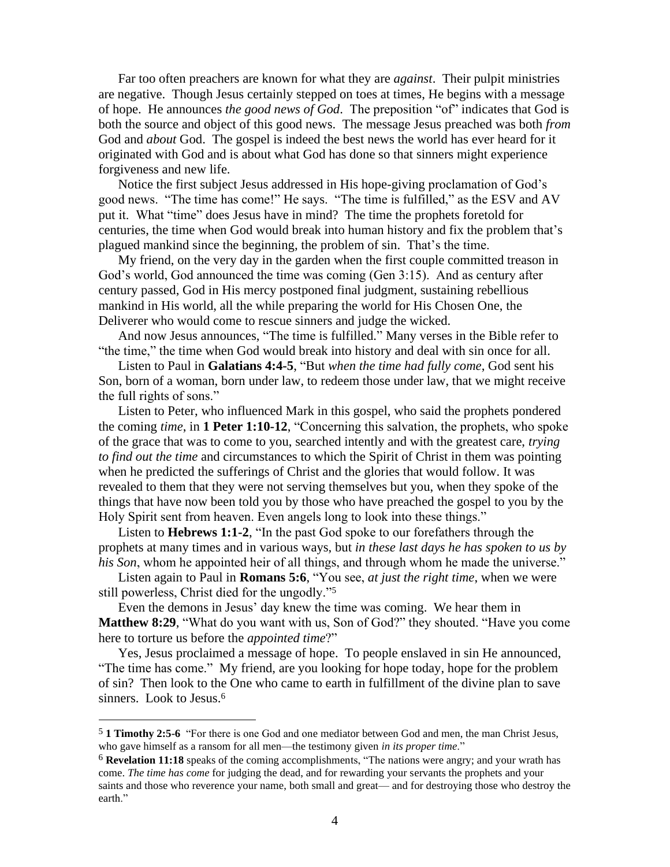Far too often preachers are known for what they are *against*. Their pulpit ministries are negative. Though Jesus certainly stepped on toes at times, He begins with a message of hope. He announces *the good news of God*. The preposition "of" indicates that God is both the source and object of this good news. The message Jesus preached was both *from* God and *about* God. The gospel is indeed the best news the world has ever heard for it originated with God and is about what God has done so that sinners might experience forgiveness and new life.

Notice the first subject Jesus addressed in His hope-giving proclamation of God's good news. "The time has come!" He says. "The time is fulfilled," as the ESV and AV put it. What "time" does Jesus have in mind? The time the prophets foretold for centuries, the time when God would break into human history and fix the problem that's plagued mankind since the beginning, the problem of sin. That's the time.

My friend, on the very day in the garden when the first couple committed treason in God's world, God announced the time was coming (Gen 3:15). And as century after century passed, God in His mercy postponed final judgment, sustaining rebellious mankind in His world, all the while preparing the world for His Chosen One, the Deliverer who would come to rescue sinners and judge the wicked.

And now Jesus announces, "The time is fulfilled." Many verses in the Bible refer to "the time," the time when God would break into history and deal with sin once for all.

Listen to Paul in **Galatians 4:4-5**, "But *when the time had fully come*, God sent his Son, born of a woman, born under law, to redeem those under law, that we might receive the full rights of sons."

Listen to Peter, who influenced Mark in this gospel, who said the prophets pondered the coming *time*, in **1 Peter 1:10-12**, "Concerning this salvation, the prophets, who spoke of the grace that was to come to you, searched intently and with the greatest care, *trying to find out the time* and circumstances to which the Spirit of Christ in them was pointing when he predicted the sufferings of Christ and the glories that would follow. It was revealed to them that they were not serving themselves but you, when they spoke of the things that have now been told you by those who have preached the gospel to you by the Holy Spirit sent from heaven. Even angels long to look into these things."

Listen to **Hebrews 1:1-2**, "In the past God spoke to our forefathers through the prophets at many times and in various ways, but *in these last days he has spoken to us by his Son*, whom he appointed heir of all things, and through whom he made the universe."

Listen again to Paul in **Romans 5:6**, "You see, *at just the right time*, when we were still powerless, Christ died for the ungodly."<sup>5</sup>

Even the demons in Jesus' day knew the time was coming. We hear them in **Matthew 8:29**, "What do you want with us, Son of God?" they shouted. "Have you come here to torture us before the *appointed time*?"

Yes, Jesus proclaimed a message of hope. To people enslaved in sin He announced, "The time has come." My friend, are you looking for hope today, hope for the problem of sin? Then look to the One who came to earth in fulfillment of the divine plan to save sinners. Look to Jesus.<sup>6</sup>

<sup>5</sup> **1 Timothy 2:5-6** "For there is one God and one mediator between God and men, the man Christ Jesus, who gave himself as a ransom for all men—the testimony given *in its proper time*."

<sup>6</sup> **Revelation 11:18** speaks of the coming accomplishments, "The nations were angry; and your wrath has come. *The time has come* for judging the dead, and for rewarding your servants the prophets and your saints and those who reverence your name, both small and great— and for destroying those who destroy the earth."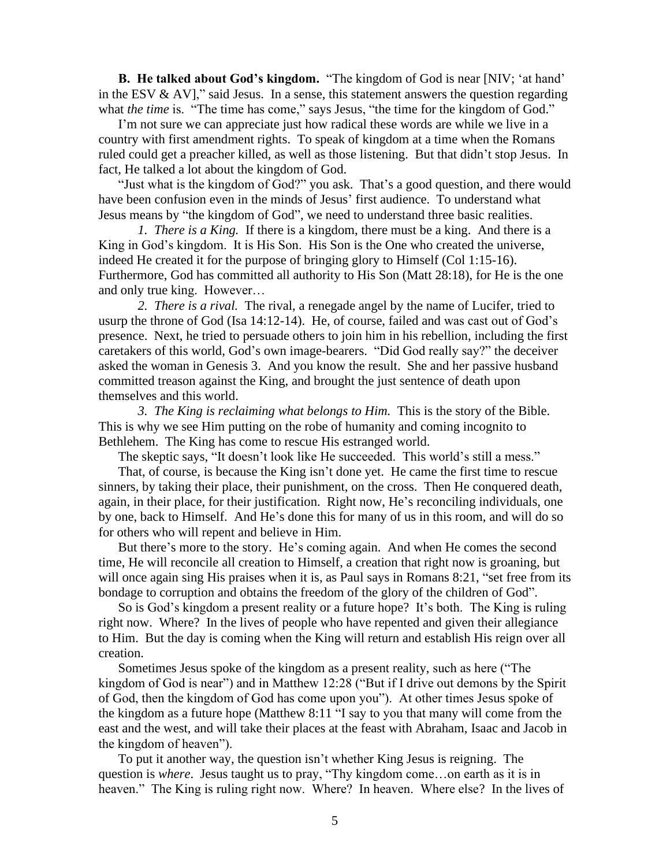**B. He talked about God's kingdom.** "The kingdom of God is near [NIV; 'at hand' in the ESV  $\&$  AV]," said Jesus. In a sense, this statement answers the question regarding what *the time* is. "The time has come," says Jesus, "the time for the kingdom of God."

I'm not sure we can appreciate just how radical these words are while we live in a country with first amendment rights. To speak of kingdom at a time when the Romans ruled could get a preacher killed, as well as those listening. But that didn't stop Jesus. In fact, He talked a lot about the kingdom of God.

"Just what is the kingdom of God?" you ask. That's a good question, and there would have been confusion even in the minds of Jesus' first audience. To understand what Jesus means by "the kingdom of God", we need to understand three basic realities.

*1. There is a King.* If there is a kingdom, there must be a king. And there is a King in God's kingdom. It is His Son. His Son is the One who created the universe, indeed He created it for the purpose of bringing glory to Himself (Col 1:15-16). Furthermore, God has committed all authority to His Son (Matt 28:18), for He is the one and only true king. However…

*2. There is a rival.* The rival, a renegade angel by the name of Lucifer, tried to usurp the throne of God (Isa 14:12-14). He, of course, failed and was cast out of God's presence. Next, he tried to persuade others to join him in his rebellion, including the first caretakers of this world, God's own image-bearers. "Did God really say?" the deceiver asked the woman in Genesis 3. And you know the result. She and her passive husband committed treason against the King, and brought the just sentence of death upon themselves and this world.

*3. The King is reclaiming what belongs to Him.* This is the story of the Bible. This is why we see Him putting on the robe of humanity and coming incognito to Bethlehem. The King has come to rescue His estranged world.

The skeptic says, "It doesn't look like He succeeded. This world's still a mess."

That, of course, is because the King isn't done yet. He came the first time to rescue sinners, by taking their place, their punishment, on the cross. Then He conquered death, again, in their place, for their justification. Right now, He's reconciling individuals, one by one, back to Himself. And He's done this for many of us in this room, and will do so for others who will repent and believe in Him.

But there's more to the story. He's coming again. And when He comes the second time, He will reconcile all creation to Himself, a creation that right now is groaning, but will once again sing His praises when it is, as Paul says in Romans 8:21, "set free from its bondage to corruption and obtains the freedom of the glory of the children of God".

So is God's kingdom a present reality or a future hope? It's both. The King is ruling right now. Where? In the lives of people who have repented and given their allegiance to Him. But the day is coming when the King will return and establish His reign over all creation.

Sometimes Jesus spoke of the kingdom as a present reality, such as here ("The kingdom of God is near") and in Matthew 12:28 ("But if I drive out demons by the Spirit of God, then the kingdom of God has come upon you"). At other times Jesus spoke of the kingdom as a future hope (Matthew 8:11 "I say to you that many will come from the east and the west, and will take their places at the feast with Abraham, Isaac and Jacob in the kingdom of heaven").

To put it another way, the question isn't whether King Jesus is reigning. The question is *where*. Jesus taught us to pray, "Thy kingdom come…on earth as it is in heaven." The King is ruling right now. Where? In heaven. Where else? In the lives of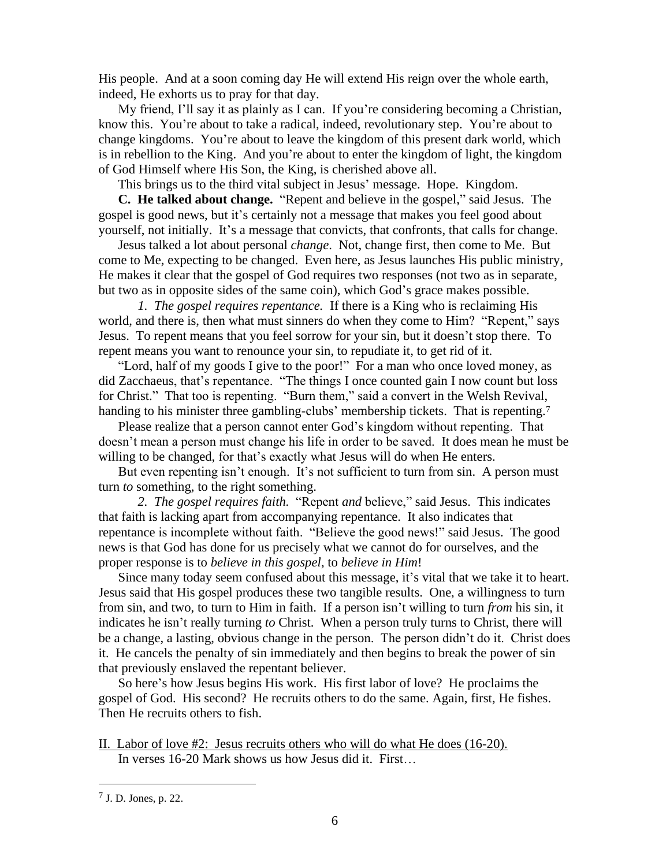His people. And at a soon coming day He will extend His reign over the whole earth, indeed, He exhorts us to pray for that day.

My friend, I'll say it as plainly as I can. If you're considering becoming a Christian, know this. You're about to take a radical, indeed, revolutionary step. You're about to change kingdoms. You're about to leave the kingdom of this present dark world, which is in rebellion to the King. And you're about to enter the kingdom of light, the kingdom of God Himself where His Son, the King, is cherished above all.

This brings us to the third vital subject in Jesus' message. Hope. Kingdom.

**C. He talked about change.** "Repent and believe in the gospel," said Jesus. The gospel is good news, but it's certainly not a message that makes you feel good about yourself, not initially. It's a message that convicts, that confronts, that calls for change.

Jesus talked a lot about personal *change*. Not, change first, then come to Me. But come to Me, expecting to be changed. Even here, as Jesus launches His public ministry, He makes it clear that the gospel of God requires two responses (not two as in separate, but two as in opposite sides of the same coin), which God's grace makes possible.

*1. The gospel requires repentance.* If there is a King who is reclaiming His world, and there is, then what must sinners do when they come to Him? "Repent," says Jesus. To repent means that you feel sorrow for your sin, but it doesn't stop there. To repent means you want to renounce your sin, to repudiate it, to get rid of it.

"Lord, half of my goods I give to the poor!" For a man who once loved money, as did Zacchaeus, that's repentance. "The things I once counted gain I now count but loss for Christ." That too is repenting. "Burn them," said a convert in the Welsh Revival, handing to his minister three gambling-clubs' membership tickets. That is repenting.<sup>7</sup>

Please realize that a person cannot enter God's kingdom without repenting. That doesn't mean a person must change his life in order to be saved. It does mean he must be willing to be changed, for that's exactly what Jesus will do when He enters.

But even repenting isn't enough. It's not sufficient to turn from sin. A person must turn *to* something, to the right something.

*2. The gospel requires faith.* "Repent *and* believe," said Jesus. This indicates that faith is lacking apart from accompanying repentance. It also indicates that repentance is incomplete without faith. "Believe the good news!" said Jesus. The good news is that God has done for us precisely what we cannot do for ourselves, and the proper response is to *believe in this gospel*, to *believe in Him*!

Since many today seem confused about this message, it's vital that we take it to heart. Jesus said that His gospel produces these two tangible results. One, a willingness to turn from sin, and two, to turn to Him in faith. If a person isn't willing to turn *from* his sin, it indicates he isn't really turning *to* Christ. When a person truly turns to Christ, there will be a change, a lasting, obvious change in the person. The person didn't do it. Christ does it. He cancels the penalty of sin immediately and then begins to break the power of sin that previously enslaved the repentant believer.

So here's how Jesus begins His work. His first labor of love? He proclaims the gospel of God. His second? He recruits others to do the same. Again, first, He fishes. Then He recruits others to fish.

II. Labor of love #2: Jesus recruits others who will do what He does (16-20). In verses 16-20 Mark shows us how Jesus did it. First…

<sup>7</sup> J. D. Jones, p. 22.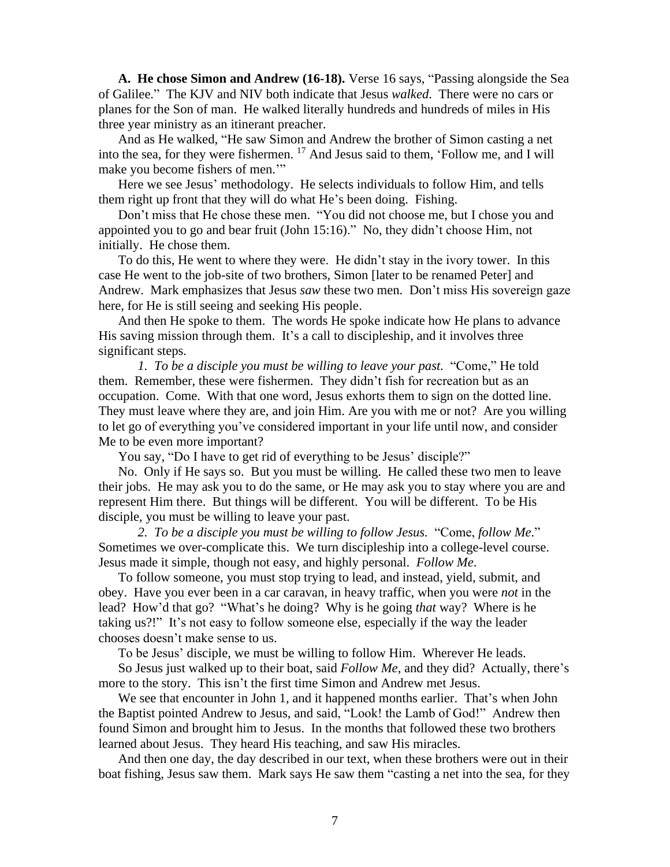**A. He chose Simon and Andrew (16-18).** Verse 16 says, "Passing alongside the Sea of Galilee." The KJV and NIV both indicate that Jesus *walked*. There were no cars or planes for the Son of man. He walked literally hundreds and hundreds of miles in His three year ministry as an itinerant preacher.

And as He walked, "He saw Simon and Andrew the brother of Simon casting a net into the sea, for they were fishermen. <sup>17</sup> And Jesus said to them, 'Follow me, and I will make you become fishers of men."

Here we see Jesus' methodology. He selects individuals to follow Him, and tells them right up front that they will do what He's been doing. Fishing.

Don't miss that He chose these men. "You did not choose me, but I chose you and appointed you to go and bear fruit (John 15:16)." No, they didn't choose Him, not initially. He chose them.

To do this, He went to where they were. He didn't stay in the ivory tower. In this case He went to the job-site of two brothers, Simon [later to be renamed Peter] and Andrew. Mark emphasizes that Jesus *saw* these two men. Don't miss His sovereign gaze here, for He is still seeing and seeking His people.

And then He spoke to them. The words He spoke indicate how He plans to advance His saving mission through them. It's a call to discipleship, and it involves three significant steps.

*1. To be a disciple you must be willing to leave your past.* "Come," He told them. Remember, these were fishermen. They didn't fish for recreation but as an occupation. Come. With that one word, Jesus exhorts them to sign on the dotted line. They must leave where they are, and join Him. Are you with me or not? Are you willing to let go of everything you've considered important in your life until now, and consider Me to be even more important?

You say, "Do I have to get rid of everything to be Jesus' disciple?"

No. Only if He says so. But you must be willing. He called these two men to leave their jobs. He may ask you to do the same, or He may ask you to stay where you are and represent Him there. But things will be different. You will be different. To be His disciple, you must be willing to leave your past.

*2. To be a disciple you must be willing to follow Jesus.* "Come, *follow Me*." Sometimes we over-complicate this. We turn discipleship into a college-level course. Jesus made it simple, though not easy, and highly personal. *Follow Me*.

To follow someone, you must stop trying to lead, and instead, yield, submit, and obey. Have you ever been in a car caravan, in heavy traffic, when you were *not* in the lead? How'd that go? "What's he doing? Why is he going *that* way? Where is he taking us?!" It's not easy to follow someone else, especially if the way the leader chooses doesn't make sense to us.

To be Jesus' disciple, we must be willing to follow Him. Wherever He leads.

So Jesus just walked up to their boat, said *Follow Me*, and they did? Actually, there's more to the story. This isn't the first time Simon and Andrew met Jesus.

We see that encounter in John 1, and it happened months earlier. That's when John the Baptist pointed Andrew to Jesus, and said, "Look! the Lamb of God!" Andrew then found Simon and brought him to Jesus. In the months that followed these two brothers learned about Jesus. They heard His teaching, and saw His miracles.

And then one day, the day described in our text, when these brothers were out in their boat fishing, Jesus saw them. Mark says He saw them "casting a net into the sea, for they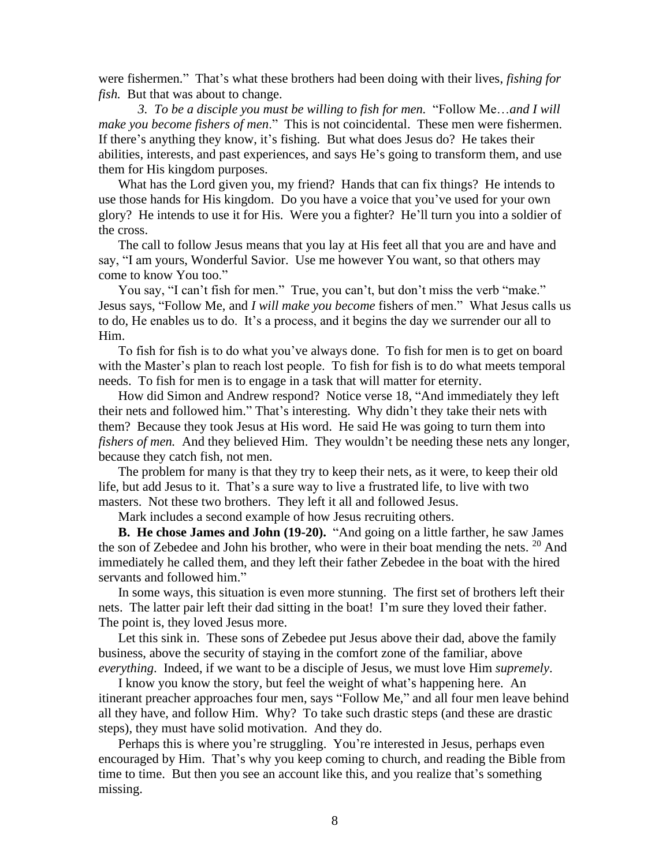were fishermen." That's what these brothers had been doing with their lives, *fishing for fish.* But that was about to change.

*3. To be a disciple you must be willing to fish for men.* "Follow Me…*and I will make you become fishers of men*." This is not coincidental. These men were fishermen. If there's anything they know, it's fishing. But what does Jesus do? He takes their abilities, interests, and past experiences, and says He's going to transform them, and use them for His kingdom purposes.

What has the Lord given you, my friend? Hands that can fix things? He intends to use those hands for His kingdom. Do you have a voice that you've used for your own glory? He intends to use it for His. Were you a fighter? He'll turn you into a soldier of the cross.

The call to follow Jesus means that you lay at His feet all that you are and have and say, "I am yours, Wonderful Savior. Use me however You want, so that others may come to know You too."

You say, "I can't fish for men." True, you can't, but don't miss the verb "make." Jesus says, "Follow Me, and *I will make you become* fishers of men." What Jesus calls us to do, He enables us to do. It's a process, and it begins the day we surrender our all to Him.

To fish for fish is to do what you've always done. To fish for men is to get on board with the Master's plan to reach lost people. To fish for fish is to do what meets temporal needs. To fish for men is to engage in a task that will matter for eternity.

How did Simon and Andrew respond? Notice verse 18, "And immediately they left their nets and followed him." That's interesting. Why didn't they take their nets with them? Because they took Jesus at His word. He said He was going to turn them into *fishers of men.* And they believed Him. They wouldn't be needing these nets any longer, because they catch fish, not men.

The problem for many is that they try to keep their nets, as it were, to keep their old life, but add Jesus to it. That's a sure way to live a frustrated life, to live with two masters. Not these two brothers. They left it all and followed Jesus.

Mark includes a second example of how Jesus recruiting others.

**B. He chose James and John (19-20).** "And going on a little farther, he saw James the son of Zebedee and John his brother, who were in their boat mending the nets.  $20$  And immediately he called them, and they left their father Zebedee in the boat with the hired servants and followed him."

In some ways, this situation is even more stunning. The first set of brothers left their nets. The latter pair left their dad sitting in the boat! I'm sure they loved their father. The point is, they loved Jesus more.

Let this sink in. These sons of Zebedee put Jesus above their dad, above the family business, above the security of staying in the comfort zone of the familiar, above *everything*. Indeed, if we want to be a disciple of Jesus, we must love Him *supremely*.

I know you know the story, but feel the weight of what's happening here. An itinerant preacher approaches four men, says "Follow Me," and all four men leave behind all they have, and follow Him. Why? To take such drastic steps (and these are drastic steps), they must have solid motivation. And they do.

Perhaps this is where you're struggling. You're interested in Jesus, perhaps even encouraged by Him. That's why you keep coming to church, and reading the Bible from time to time. But then you see an account like this, and you realize that's something missing.